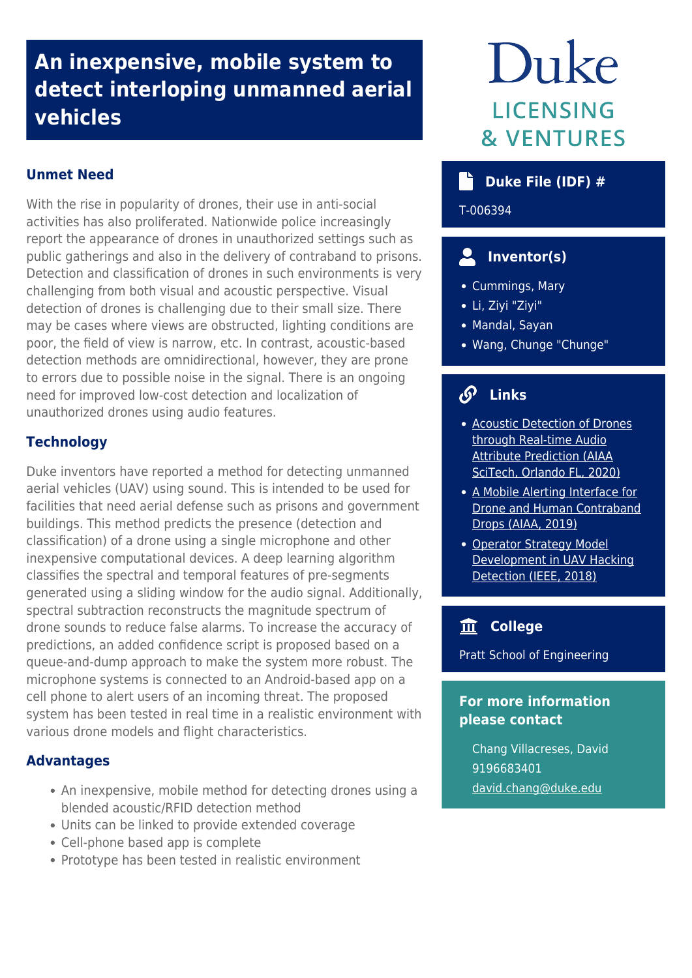## **An inexpensive, mobile system to detect interloping unmanned aerial vehicles**

## **Unmet Need**

With the rise in popularity of drones, their use in anti-social activities has also proliferated. Nationwide police increasingly report the appearance of drones in unauthorized settings such as public gatherings and also in the delivery of contraband to prisons. Detection and classification of drones in such environments is very challenging from both visual and acoustic perspective. Visual detection of drones is challenging due to their small size. There may be cases where views are obstructed, lighting conditions are poor, the field of view is narrow, etc. In contrast, acoustic-based detection methods are omnidirectional, however, they are prone to errors due to possible noise in the signal. There is an ongoing need for improved low-cost detection and localization of unauthorized drones using audio features.

## **Technology**

Duke inventors have reported a method for detecting unmanned aerial vehicles (UAV) using sound. This is intended to be used for facilities that need aerial defense such as prisons and government buildings. This method predicts the presence (detection and classification) of a drone using a single microphone and other inexpensive computational devices. A deep learning algorithm classifies the spectral and temporal features of pre-segments generated using a sliding window for the audio signal. Additionally, spectral subtraction reconstructs the magnitude spectrum of drone sounds to reduce false alarms. To increase the accuracy of predictions, an added confidence script is proposed based on a queue-and-dump approach to make the system more robust. The microphone systems is connected to an Android-based app on a cell phone to alert users of an incoming threat. The proposed system has been tested in real time in a realistic environment with various drone models and flight characteristics.

#### **Advantages**

- An inexpensive, mobile method for detecting drones using a blended acoustic/RFID detection method
- Units can be linked to provide extended coverage
- Cell-phone based app is complete
- Prototype has been tested in realistic environment

# Duke **LICENSING & VENTURES**

## **Duke File (IDF) #**

T-006394

## **Inventor(s)**

- Cummings, Mary
- Li, Ziyi "Ziyi"
- Mandal, Sayan
- Wang, Chunge "Chunge"

## **Links**

- [Acoustic Detection of Drones](http://hal.pratt.duke.edu/sites/hal.pratt.duke.edu/files/u39/pris_final%5B2078%5D-min.pdf) [through Real-time Audio](http://hal.pratt.duke.edu/sites/hal.pratt.duke.edu/files/u39/pris_final%5B2078%5D-min.pdf) [Attribute Prediction \(AIAA](http://hal.pratt.duke.edu/sites/hal.pratt.duke.edu/files/u39/pris_final%5B2078%5D-min.pdf) [SciTech, Orlando FL, 2020\)](http://hal.pratt.duke.edu/sites/hal.pratt.duke.edu/files/u39/pris_final%5B2078%5D-min.pdf)
- [A Mobile Alerting Interface for](http://hal.pratt.duke.edu/sites/hal.pratt.duke.edu/files/u35/final-chungeAIAA2019.pdf) [Drone and Human Contraband](http://hal.pratt.duke.edu/sites/hal.pratt.duke.edu/files/u35/final-chungeAIAA2019.pdf) [Drops \(AIAA, 2019\)](http://hal.pratt.duke.edu/sites/hal.pratt.duke.edu/files/u35/final-chungeAIAA2019.pdf)
- [Operator Strategy Model](http://hal.pratt.duke.edu/sites/hal.pratt.duke.edu/files/u35/IEEE_THMS_2018_resized.pdf) [Development in UAV Hacking](http://hal.pratt.duke.edu/sites/hal.pratt.duke.edu/files/u35/IEEE_THMS_2018_resized.pdf) [Detection \(IEEE, 2018\)](http://hal.pratt.duke.edu/sites/hal.pratt.duke.edu/files/u35/IEEE_THMS_2018_resized.pdf)

## **College**

Pratt School of Engineering

### **For more information please contact**

Chang Villacreses, David 9196683401 [david.chang@duke.edu](mailto:david.chang@duke.edu)